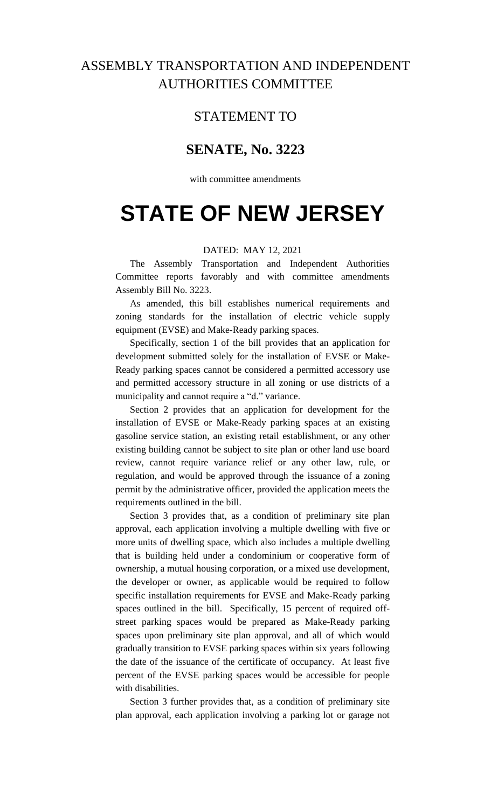## ASSEMBLY TRANSPORTATION AND INDEPENDENT AUTHORITIES COMMITTEE

### STATEMENT TO

### **SENATE, No. 3223**

with committee amendments

# **STATE OF NEW JERSEY**

#### DATED: MAY 12, 2021

The Assembly Transportation and Independent Authorities Committee reports favorably and with committee amendments Assembly Bill No. 3223.

As amended, this bill establishes numerical requirements and zoning standards for the installation of electric vehicle supply equipment (EVSE) and Make-Ready parking spaces.

Specifically, section 1 of the bill provides that an application for development submitted solely for the installation of EVSE or Make-Ready parking spaces cannot be considered a permitted accessory use and permitted accessory structure in all zoning or use districts of a municipality and cannot require a "d." variance.

Section 2 provides that an application for development for the installation of EVSE or Make-Ready parking spaces at an existing gasoline service station, an existing retail establishment, or any other existing building cannot be subject to site plan or other land use board review, cannot require variance relief or any other law, rule, or regulation, and would be approved through the issuance of a zoning permit by the administrative officer, provided the application meets the requirements outlined in the bill.

Section 3 provides that, as a condition of preliminary site plan approval, each application involving a multiple dwelling with five or more units of dwelling space, which also includes a multiple dwelling that is building held under a condominium or cooperative form of ownership, a mutual housing corporation, or a mixed use development, the developer or owner, as applicable would be required to follow specific installation requirements for EVSE and Make-Ready parking spaces outlined in the bill. Specifically, 15 percent of required offstreet parking spaces would be prepared as Make-Ready parking spaces upon preliminary site plan approval, and all of which would gradually transition to EVSE parking spaces within six years following the date of the issuance of the certificate of occupancy. At least five percent of the EVSE parking spaces would be accessible for people with disabilities.

Section 3 further provides that, as a condition of preliminary site plan approval, each application involving a parking lot or garage not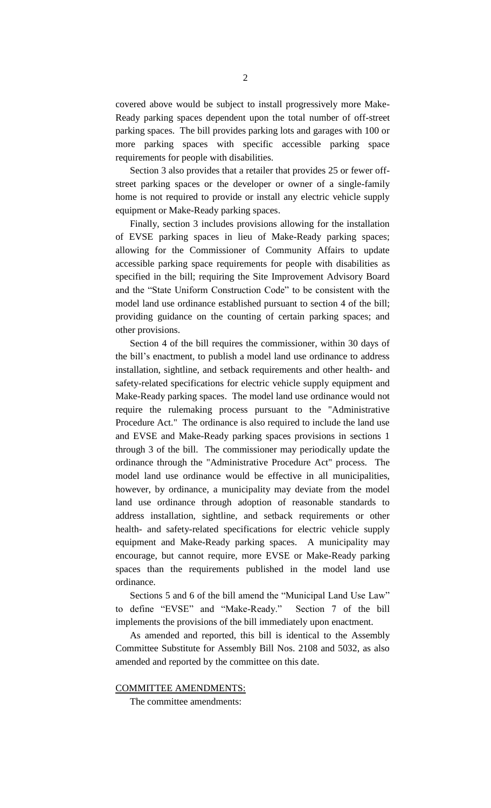covered above would be subject to install progressively more Make-Ready parking spaces dependent upon the total number of off-street parking spaces. The bill provides parking lots and garages with 100 or more parking spaces with specific accessible parking space requirements for people with disabilities.

Section 3 also provides that a retailer that provides 25 or fewer offstreet parking spaces or the developer or owner of a single-family home is not required to provide or install any electric vehicle supply equipment or Make-Ready parking spaces.

Finally, section 3 includes provisions allowing for the installation of EVSE parking spaces in lieu of Make-Ready parking spaces; allowing for the Commissioner of Community Affairs to update accessible parking space requirements for people with disabilities as specified in the bill; requiring the Site Improvement Advisory Board and the "State Uniform Construction Code" to be consistent with the model land use ordinance established pursuant to section 4 of the bill; providing guidance on the counting of certain parking spaces; and other provisions.

Section 4 of the bill requires the commissioner, within 30 days of the bill's enactment, to publish a model land use ordinance to address installation, sightline, and setback requirements and other health- and safety-related specifications for electric vehicle supply equipment and Make-Ready parking spaces. The model land use ordinance would not require the rulemaking process pursuant to the "Administrative Procedure Act." The ordinance is also required to include the land use and EVSE and Make-Ready parking spaces provisions in sections 1 through 3 of the bill. The commissioner may periodically update the ordinance through the "Administrative Procedure Act" process. The model land use ordinance would be effective in all municipalities, however, by ordinance, a municipality may deviate from the model land use ordinance through adoption of reasonable standards to address installation, sightline, and setback requirements or other health- and safety-related specifications for electric vehicle supply equipment and Make-Ready parking spaces. A municipality may encourage, but cannot require, more EVSE or Make-Ready parking spaces than the requirements published in the model land use ordinance.

Sections 5 and 6 of the bill amend the "Municipal Land Use Law" to define "EVSE" and "Make-Ready." Section 7 of the bill implements the provisions of the bill immediately upon enactment.

As amended and reported, this bill is identical to the Assembly Committee Substitute for Assembly Bill Nos. 2108 and 5032, as also amended and reported by the committee on this date.

COMMITTEE AMENDMENTS:

The committee amendments: